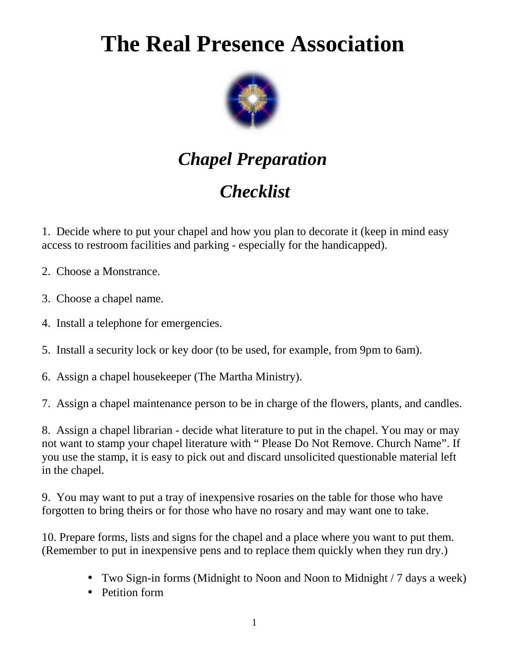## **The Real Presence Association**



## *Chapel Preparation*

## *Checklist*

1. Decide where to put your chapel and how you plan to decorate it (keep in mind easy access to restroom facilities and parking - especially for the handicapped).

2. Choose a Monstrance.

3. Choose a chapel name.

4. Install a telephone for emergencies.

5. Install a security lock or key door (to be used, for example, from 9pm to 6am).

6. Assign a chapel housekeeper (The Martha Ministry).

7. Assign a chapel maintenance person to be in charge of the flowers, plants, and candles.

8. Assign a chapel librarian - decide what literature to put in the chapel. You may or may not want to stamp your chapel literature with " Please Do Not Remove. Church Name". If you use the stamp, it is easy to pick out and discard unsolicited questionable material left in the chapel.

9. You may want to put a tray of inexpensive rosaries on the table for those who have forgotten to bring theirs or for those who have no rosary and may want one to take.

10. Prepare forms, lists and signs for the chapel and a place where you want to put them. (Remember to put in inexpensive pens and to replace them quickly when they run dry.)

- Two Sign-in forms (Midnight to Noon and Noon to Midnight / 7 days a week)
- Petition form